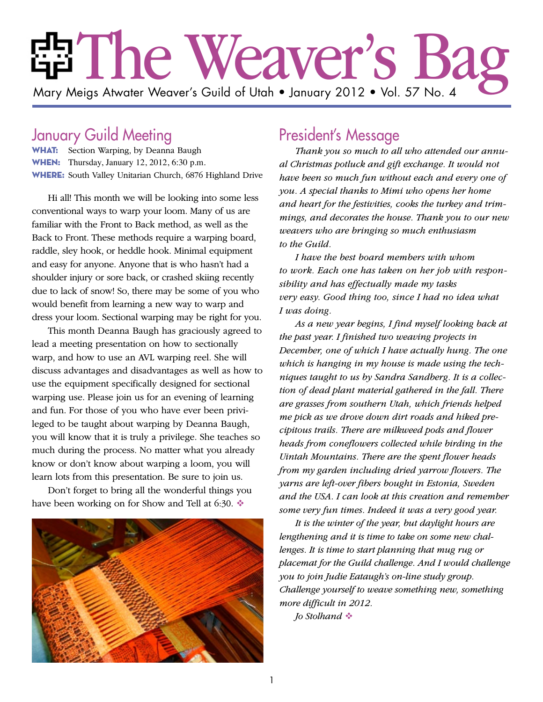# The Weaver's Bag Mary Meigs Atwater Weaver's Guild of Utah • January 2012 • Vol. 57 No. 4

## January Guild Meeting

WHAT: Section Warping, by Deanna Baugh **WHEN:** Thursday, January 12, 2012, 6:30 p.m. WHERE: South Valley Unitarian Church, 6876 Highland Drive

Hi all! This month we will be looking into some less conventional ways to warp your loom. Many of us are familiar with the Front to Back method, as well as the Back to Front. These methods require a warping board, raddle, sley hook, or heddle hook. Minimal equipment and easy for anyone. Anyone that is who hasn't had a shoulder injury or sore back, or crashed skiing recently due to lack of snow! So, there may be some of you who would benefit from learning a new way to warp and dress your loom. Sectional warping may be right for you.

This month Deanna Baugh has graciously agreed to lead a meeting presentation on how to sectionally warp, and how to use an AVL warping reel. She will discuss advantages and disadvantages as well as how to use the equipment specifically designed for sectional warping use. Please join us for an evening of learning and fun. For those of you who have ever been privileged to be taught about warping by Deanna Baugh, you will know that it is truly a privilege. She teaches so much during the process. No matter what you already know or don't know about warping a loom, you will learn lots from this presentation. Be sure to join us.

Don't forget to bring all the wonderful things you have been working on for Show and Tell at 6:30.  $\triangleleft$ 



## President's Message

*Thank you so much to all who attended our annual Christmas potluck and gift exchange. It would not have been so much fun without each and every one of you. A special thanks to Mimi who opens her home and heart for the festivities, cooks the turkey and trimmings, and decorates the house. Thank you to our new weavers who are bringing so much enthusiasm to the Guild.* 

*I have the best board members with whom to work. Each one has taken on her job with responsibility and has effectually made my tasks very easy. Good thing too, since I had no idea what I was doing.* 

*As a new year begins, I find myself looking back at the past year. I finished two weaving projects in December, one of which I have actually hung. The one which is hanging in my house is made using the techniques taught to us by Sandra Sandberg. It is a collection of dead plant material gathered in the fall. There are grasses from southern Utah, which friends helped me pick as we drove down dirt roads and hiked precipitous trails. There are milkweed pods and flower heads from coneflowers collected while birding in the Uintah Mountains. There are the spent flower heads from my garden including dried yarrow flowers. The yarns are left-over fibers bought in Estonia, Sweden and the USA. I can look at this creation and remember some very fun times. Indeed it was a very good year.* 

*It is the winter of the year, but daylight hours are lengthening and it is time to take on some new challenges. It is time to start planning that mug rug or placemat for the Guild challenge. And I would challenge you to join Judie Eataugh's on-line study group. Challenge yourself to weave something new, something more difficult in 2012.*

*Jo Stolhand*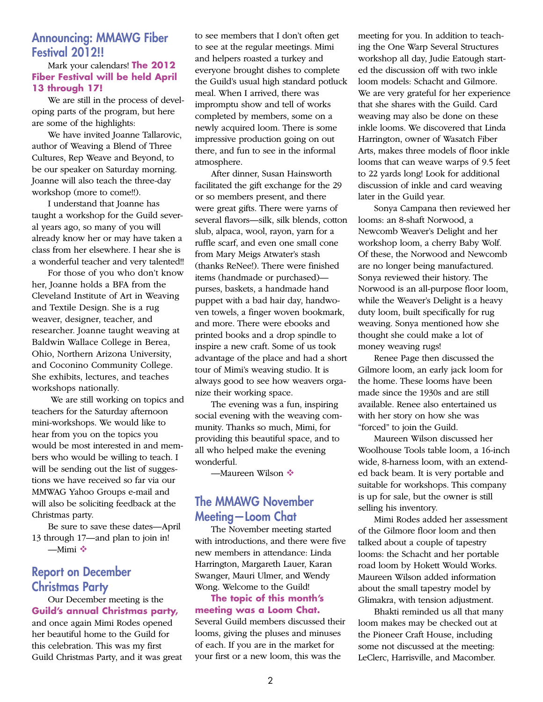#### Announcing: MMAWG Fiber Festival 2012!!

#### Mark your calendars! **The 2012 Fiber Festival will be held April 13 through 17!**

We are still in the process of developing parts of the program, but here are some of the highlights:

We have invited Joanne Tallarovic, author of Weaving a Blend of Three Cultures, Rep Weave and Beyond, to be our speaker on Saturday morning. Joanne will also teach the three-day workshop (more to come!!).

I understand that Joanne has taught a workshop for the Guild several years ago, so many of you will already know her or may have taken a class from her elsewhere. I hear she is a wonderful teacher and very talented!!

For those of you who don't know her, Joanne holds a BFA from the Cleveland Institute of Art in Weaving and Textile Design. She is a rug weaver, designer, teacher, and researcher. Joanne taught weaving at Baldwin Wallace College in Berea, Ohio, Northern Arizona University, and Coconino Community College. She exhibits, lectures, and teaches workshops nationally.

 We are still working on topics and teachers for the Saturday afternoon mini-workshops. We would like to hear from you on the topics you would be most interested in and members who would be willing to teach. I will be sending out the list of suggestions we have received so far via our MMWAG Yahoo Groups e-mail and will also be soliciting feedback at the Christmas party.

Be sure to save these dates—April 13 through 17—and plan to join in!  $-Mimi$ 

#### Report on December Christmas Party

Our December meeting is the **Guild's annual Christmas party,** and once again Mimi Rodes opened her beautiful home to the Guild for this celebration. This was my first Guild Christmas Party, and it was great to see members that I don't often get to see at the regular meetings. Mimi and helpers roasted a turkey and everyone brought dishes to complete the Guild's usual high standard potluck meal. When I arrived, there was impromptu show and tell of works completed by members, some on a newly acquired loom. There is some impressive production going on out there, and fun to see in the informal atmosphere.

After dinner, Susan Hainsworth facilitated the gift exchange for the 29 or so members present, and there were great gifts. There were yarns of several flavors—silk, silk blends, cotton slub, alpaca, wool, rayon, yarn for a ruffle scarf, and even one small cone from Mary Meigs Atwater's stash (thanks ReNee!). There were finished items (handmade or purchased) purses, baskets, a handmade hand puppet with a bad hair day, handwoven towels, a finger woven bookmark, and more. There were ebooks and printed books and a drop spindle to inspire a new craft. Some of us took advantage of the place and had a short tour of Mimi's weaving studio. It is always good to see how weavers organize their working space.

The evening was a fun, inspiring social evening with the weaving community. Thanks so much, Mimi, for providing this beautiful space, and to all who helped make the evening wonderful.

—Maureen Wilson

#### The MMAWG November Meeting—Loom Chat

The November meeting started with introductions, and there were five new members in attendance: Linda Harrington, Margareth Lauer, Karan Swanger, Mauri Ulmer, and Wendy Wong. Welcome to the Guild!

**The topic of this month's meeting was a Loom Chat.** Several Guild members discussed their looms, giving the pluses and minuses of each. If you are in the market for your first or a new loom, this was the

meeting for you. In addition to teaching the One Warp Several Structures workshop all day, Judie Eatough started the discussion off with two inkle loom models: Schacht and Gilmore. We are very grateful for her experience that she shares with the Guild. Card weaving may also be done on these inkle looms. We discovered that Linda Harrington, owner of Wasatch Fiber Arts, makes three models of floor inkle looms that can weave warps of 9.5 feet to 22 yards long! Look for additional discussion of inkle and card weaving later in the Guild year.

Sonya Campana then reviewed her looms: an 8-shaft Norwood, a Newcomb Weaver's Delight and her workshop loom, a cherry Baby Wolf. Of these, the Norwood and Newcomb are no longer being manufactured. Sonya reviewed their history. The Norwood is an all-purpose floor loom, while the Weaver's Delight is a heavy duty loom, built specifically for rug weaving. Sonya mentioned how she thought she could make a lot of money weaving rugs!

Renee Page then discussed the Gilmore loom, an early jack loom for the home. These looms have been made since the 1930s and are still available. Renee also entertained us with her story on how she was "forced" to join the Guild.

Maureen Wilson discussed her Woolhouse Tools table loom, a 16-inch wide, 8-harness loom, with an extended back beam. It is very portable and suitable for workshops. This company is up for sale, but the owner is still selling his inventory.

Mimi Rodes added her assessment of the Gilmore floor loom and then talked about a couple of tapestry looms: the Schacht and her portable road loom by Hokett Would Works. Maureen Wilson added information about the small tapestry model by Glimakra, with tension adjustment.

Bhakti reminded us all that many loom makes may be checked out at the Pioneer Craft House, including some not discussed at the meeting: LeClerc, Harrisville, and Macomber.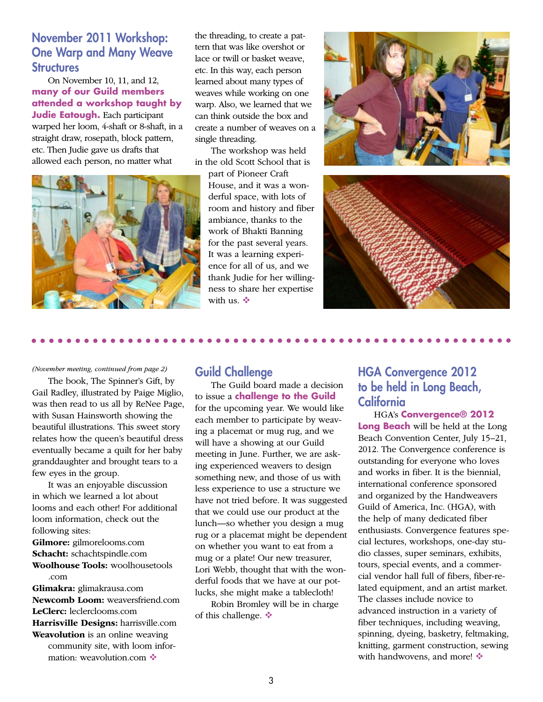### November 2011 Workshop: One Warp and Many Weave **Structures**

On November 10, 11, and 12, **many of our Guild members attended a workshop taught by Judie Eatough.** Each participant warped her loom, 4-shaft or 8-shaft, in a straight draw, rosepath, block pattern, etc. Then Judie gave us drafts that allowed each person, no matter what



the threading, to create a pattern that was like overshot or lace or twill or basket weave, etc. In this way, each person learned about many types of weaves while working on one warp. Also, we learned that we can think outside the box and create a number of weaves on a single threading.

The workshop was held in the old Scott School that is

part of Pioneer Craft House, and it was a wonderful space, with lots of room and history and fiber ambiance, thanks to the work of Bhakti Banning for the past several years. It was a learning experience for all of us, and we thank Judie for her willingness to share her expertise with us.  $\ddot{\bullet}$ 





#### *(November meeting, continued from page 2)*

The book, The Spinner's Gift, by Gail Radley, illustrated by Paige Miglio, was then read to us all by ReNee Page, with Susan Hainsworth showing the beautiful illustrations. This sweet story relates how the queen's beautiful dress eventually became a quilt for her baby granddaughter and brought tears to a few eyes in the group.

It was an enjoyable discussion in which we learned a lot about looms and each other! For additional loom information, check out the following sites: **Gilmore:** gilmorelooms.com **Schacht:** schachtspindle.com **Woolhouse Tools:** woolhousetools .com **Glimakra:** glimakrausa.com **Newcomb Loom:** weaversfriend.com **LeClerc:** leclerclooms.com **Harrisville Designs:** harrisville.com

**Weavolution** is an online weaving community site, with loom information: weavolution.com ❖

#### Guild Challenge

The Guild board made a decision to issue a **challenge to the Guild** for the upcoming year. We would like each member to participate by weaving a placemat or mug rug, and we will have a showing at our Guild meeting in June. Further, we are asking experienced weavers to design something new, and those of us with less experience to use a structure we have not tried before. It was suggested that we could use our product at the lunch—so whether you design a mug rug or a placemat might be dependent on whether you want to eat from a mug or a plate! Our new treasurer, Lori Webb, thought that with the wonderful foods that we have at our potlucks, she might make a tablecloth!

Robin Bromley will be in charge of this challenge.  $\bullet$ 

## HGA Convergence 2012 to be held in Long Beach, **California**

HGA's **Convergence® 2012 Long Beach** will be held at the Long Beach Convention Center, July 15–21, 2012. The Convergence conference is outstanding for everyone who loves and works in fiber. It is the biennial, international conference sponsored and organized by the Handweavers Guild of America, Inc. (HGA), with the help of many dedicated fiber enthusiasts. Convergence features special lectures, workshops, one-day studio classes, super seminars, exhibits, tours, special events, and a commercial vendor hall full of fibers, fiber-related equipment, and an artist market. The classes include novice to advanced instruction in a variety of fiber techniques, including weaving, spinning, dyeing, basketry, feltmaking, knitting, garment construction, sewing with handwovens, and more!  $\cdot$